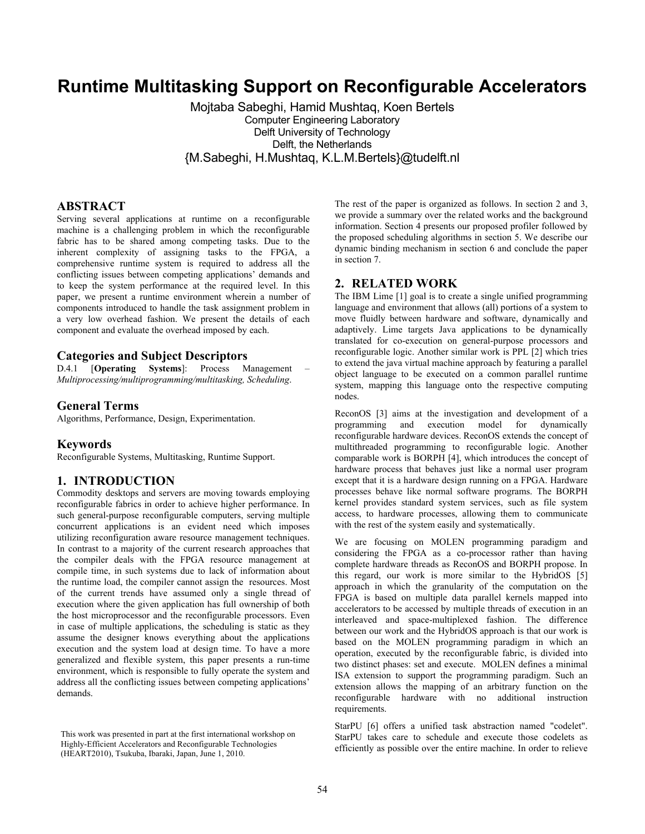# **Runtime Multitasking Support on Reconfigurable Accelerators**

Mojtaba Sabeghi, Hamid Mushtaq, Koen Bertels Computer Engineering Laboratory Delft University of Technology Delft, the Netherlands {M.Sabeghi, H.Mushtaq, K.L.M.Bertels}@tudelft.nl

### **ABSTRACT**

Serving several applications at runtime on a reconfigurable machine is a challenging problem in which the reconfigurable fabric has to be shared among competing tasks. Due to the inherent complexity of assigning tasks to the FPGA, a comprehensive runtime system is required to address all the conflicting issues between competing applications' demands and to keep the system performance at the required level. In this paper, we present a runtime environment wherein a number of components introduced to handle the task assignment problem in a very low overhead fashion. We present the details of each component and evaluate the overhead imposed by each.

### **Categories and Subject Descriptors**

D.4.1 **[Operating Systems**]: Process Management *Multiprocessing/multiprogramming/multitasking, Scheduling*.

## **General Terms**

Algorithms, Performance, Design, Experimentation.

### **Keywords**

Reconfigurable Systems, Multitasking, Runtime Support.

### **1. INTRODUCTION**

Commodity desktops and servers are moving towards employing reconfigurable fabrics in order to achieve higher performance. In such general-purpose reconfigurable computers, serving multiple concurrent applications is an evident need which imposes utilizing reconfiguration aware resource management techniques. In contrast to a majority of the current research approaches that the compiler deals with the FPGA resource management at compile time, in such systems due to lack of information about the runtime load, the compiler cannot assign the resources. Most of the current trends have assumed only a single thread of execution where the given application has full ownership of both the host microprocessor and the reconfigurable processors. Even in case of multiple applications, the scheduling is static as they assume the designer knows everything about the applications execution and the system load at design time. To have a more generalized and flexible system, this paper presents a run-time environment, which is responsible to fully operate the system and address all the conflicting issues between competing applications' demands.

The rest of the paper is organized as follows. In section 2 and 3, we provide a summary over the related works and the background information. Section 4 presents our proposed profiler followed by the proposed scheduling algorithms in section 5. We describe our dynamic binding mechanism in section 6 and conclude the paper in section 7.

### **2. RELATED WORK**

The IBM Lime [1] goal is to create a single unified programming language and environment that allows (all) portions of a system to move fluidly between hardware and software, dynamically and adaptively. Lime targets Java applications to be dynamically translated for co-execution on general-purpose processors and reconfigurable logic. Another similar work is PPL [2] which tries to extend the java virtual machine approach by featuring a parallel object language to be executed on a common parallel runtime system, mapping this language onto the respective computing nodes.

ReconOS [3] aims at the investigation and development of a programming and execution model for dynamically reconfigurable hardware devices. ReconOS extends the concept of multithreaded programming to reconfigurable logic. Another comparable work is BORPH [4], which introduces the concept of hardware process that behaves just like a normal user program except that it is a hardware design running on a FPGA. Hardware processes behave like normal software programs. The BORPH kernel provides standard system services, such as file system access, to hardware processes, allowing them to communicate with the rest of the system easily and systematically.

We are focusing on MOLEN programming paradigm and considering the FPGA as a co-processor rather than having complete hardware threads as ReconOS and BORPH propose. In this regard, our work is more similar to the HybridOS [5] approach in which the granularity of the computation on the FPGA is based on multiple data parallel kernels mapped into accelerators to be accessed by multiple threads of execution in an interleaved and space-multiplexed fashion. The difference between our work and the HybridOS approach is that our work is based on the MOLEN programming paradigm in which an operation, executed by the reconfigurable fabric, is divided into two distinct phases: set and execute. MOLEN defines a minimal ISA extension to support the programming paradigm. Such an extension allows the mapping of an arbitrary function on the reconfigurable hardware with no additional instruction requirements.

StarPU [6] offers a unified task abstraction named "codelet". StarPU takes care to schedule and execute those codelets as efficiently as possible over the entire machine. In order to relieve

This work was presented in part at the first international workshop on Highly-Efficient Accelerators and Reconfigurable Technologies (HEART2010), Tsukuba, Ibaraki, Japan, June 1, 2010.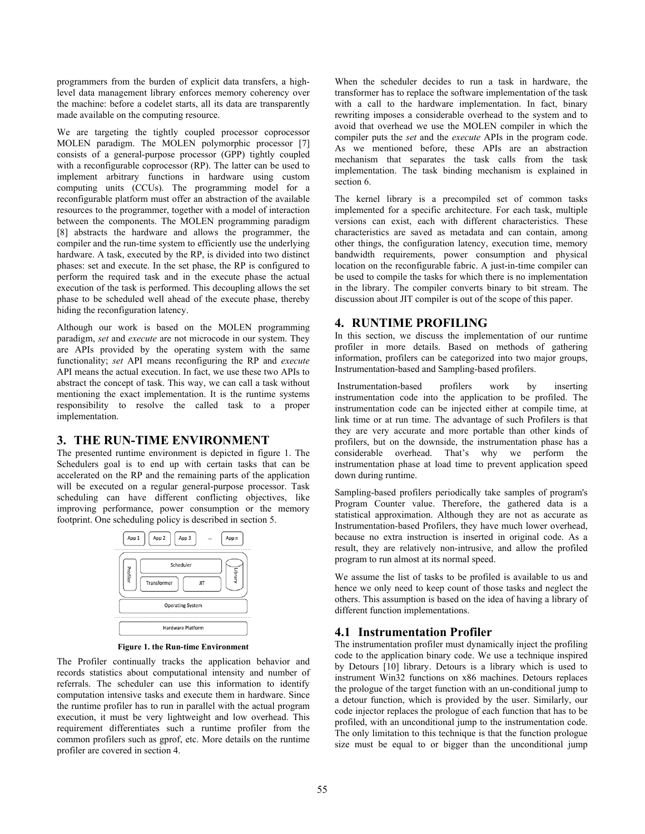programmers from the burden of explicit data transfers, a highlevel data management library enforces memory coherency over the machine: before a codelet starts, all its data are transparently made available on the computing resource.

We are targeting the tightly coupled processor coprocessor MOLEN paradigm. The MOLEN polymorphic processor [7] consists of a general-purpose processor (GPP) tightly coupled with a reconfigurable coprocessor (RP). The latter can be used to implement arbitrary functions in hardware using custom computing units (CCUs). The programming model for a reconfigurable platform must offer an abstraction of the available resources to the programmer, together with a model of interaction between the components. The MOLEN programming paradigm [8] abstracts the hardware and allows the programmer, the compiler and the run-time system to efficiently use the underlying hardware. A task, executed by the RP, is divided into two distinct phases: set and execute. In the set phase, the RP is configured to perform the required task and in the execute phase the actual execution of the task is performed. This decoupling allows the set phase to be scheduled well ahead of the execute phase, thereby hiding the reconfiguration latency.

Although our work is based on the MOLEN programming paradigm, *set* and *execute* are not microcode in our system. They are APIs provided by the operating system with the same functionality; *set* API means reconfiguring the RP and *execute* API means the actual execution. In fact, we use these two APIs to abstract the concept of task. This way, we can call a task without mentioning the exact implementation. It is the runtime systems responsibility to resolve the called task to a proper implementation.

### **3. THE RUN-TIME ENVIRONMENT**

The presented runtime environment is depicted in figure 1. The Schedulers goal is to end up with certain tasks that can be accelerated on the RP and the remaining parts of the application will be executed on a regular general-purpose processor. Task scheduling can have different conflicting objectives, like improving performance, power consumption or the memory footprint. One scheduling policy is described in section 5.



**Figure 1. the Run-time Environment** 

The Profiler continually tracks the application behavior and records statistics about computational intensity and number of referrals. The scheduler can use this information to identify computation intensive tasks and execute them in hardware. Since the runtime profiler has to run in parallel with the actual program execution, it must be very lightweight and low overhead. This requirement differentiates such a runtime profiler from the common profilers such as gprof, etc. More details on the runtime profiler are covered in section 4.

When the scheduler decides to run a task in hardware, the transformer has to replace the software implementation of the task with a call to the hardware implementation. In fact, binary rewriting imposes a considerable overhead to the system and to avoid that overhead we use the MOLEN compiler in which the compiler puts the *set* and the *execute* APIs in the program code. As we mentioned before, these APIs are an abstraction mechanism that separates the task calls from the task implementation. The task binding mechanism is explained in section 6.

The kernel library is a precompiled set of common tasks implemented for a specific architecture. For each task, multiple versions can exist, each with different characteristics. These characteristics are saved as metadata and can contain, among other things, the configuration latency, execution time, memory bandwidth requirements, power consumption and physical location on the reconfigurable fabric. A just-in-time compiler can be used to compile the tasks for which there is no implementation in the library. The compiler converts binary to bit stream. The discussion about JIT compiler is out of the scope of this paper.

# **4. RUNTIME PROFILING**

In this section, we discuss the implementation of our runtime profiler in more details. Based on methods of gathering information, profilers can be categorized into two major groups, Instrumentation-based and Sampling-based profilers.

 Instrumentation-based profilers work by inserting instrumentation code into the application to be profiled. The instrumentation code can be injected either at compile time, at link time or at run time. The advantage of such Profilers is that they are very accurate and more portable than other kinds of profilers, but on the downside, the instrumentation phase has a considerable overhead. That's why we perform the instrumentation phase at load time to prevent application speed down during runtime.

Sampling-based profilers periodically take samples of program's Program Counter value. Therefore, the gathered data is a statistical approximation. Although they are not as accurate as Instrumentation-based Profilers, they have much lower overhead, because no extra instruction is inserted in original code. As a result, they are relatively non-intrusive, and allow the profiled program to run almost at its normal speed.

We assume the list of tasks to be profiled is available to us and hence we only need to keep count of those tasks and neglect the others. This assumption is based on the idea of having a library of different function implementations.

# **4.1 Instrumentation Profiler**

The instrumentation profiler must dynamically inject the profiling code to the application binary code. We use a technique inspired by Detours [10] library. Detours is a library which is used to instrument Win32 functions on x86 machines. Detours replaces the prologue of the target function with an un-conditional jump to a detour function, which is provided by the user. Similarly, our code injector replaces the prologue of each function that has to be profiled, with an unconditional jump to the instrumentation code. The only limitation to this technique is that the function prologue size must be equal to or bigger than the unconditional jump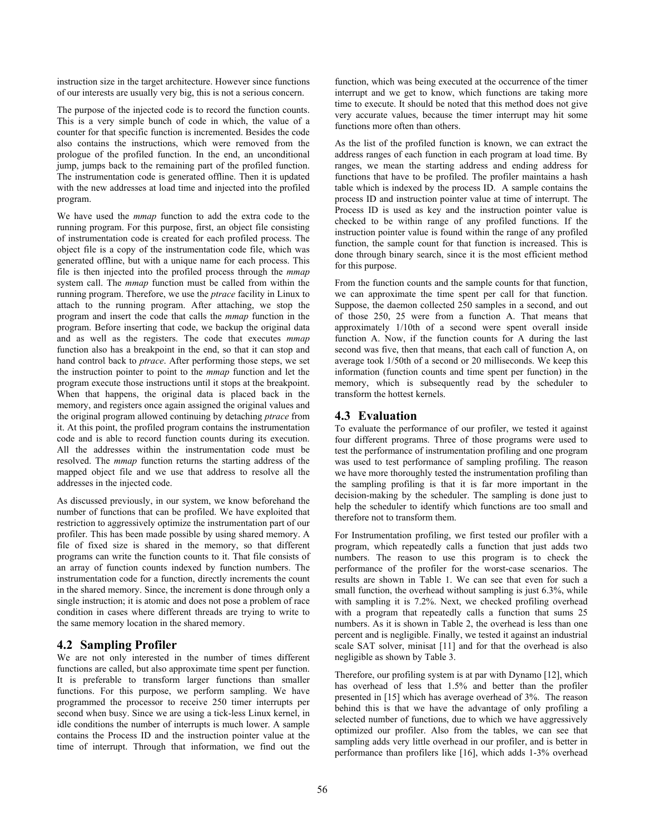instruction size in the target architecture. However since functions of our interests are usually very big, this is not a serious concern.

The purpose of the injected code is to record the function counts. This is a very simple bunch of code in which, the value of a counter for that specific function is incremented. Besides the code also contains the instructions, which were removed from the prologue of the profiled function. In the end, an unconditional jump, jumps back to the remaining part of the profiled function. The instrumentation code is generated offline. Then it is updated with the new addresses at load time and injected into the profiled program.

We have used the *mmap* function to add the extra code to the running program. For this purpose, first, an object file consisting of instrumentation code is created for each profiled process. The object file is a copy of the instrumentation code file, which was generated offline, but with a unique name for each process. This file is then injected into the profiled process through the *mmap* system call. The *mmap* function must be called from within the running program. Therefore, we use the *ptrace* facility in Linux to attach to the running program. After attaching, we stop the program and insert the code that calls the *mmap* function in the program. Before inserting that code, we backup the original data and as well as the registers. The code that executes *mmap* function also has a breakpoint in the end, so that it can stop and hand control back to *ptrace*. After performing those steps, we set the instruction pointer to point to the *mmap* function and let the program execute those instructions until it stops at the breakpoint. When that happens, the original data is placed back in the memory, and registers once again assigned the original values and the original program allowed continuing by detaching *ptrace* from it. At this point, the profiled program contains the instrumentation code and is able to record function counts during its execution. All the addresses within the instrumentation code must be resolved. The *mmap* function returns the starting address of the mapped object file and we use that address to resolve all the addresses in the injected code.

As discussed previously, in our system, we know beforehand the number of functions that can be profiled. We have exploited that restriction to aggressively optimize the instrumentation part of our profiler. This has been made possible by using shared memory. A file of fixed size is shared in the memory, so that different programs can write the function counts to it. That file consists of an array of function counts indexed by function numbers. The instrumentation code for a function, directly increments the count in the shared memory. Since, the increment is done through only a single instruction; it is atomic and does not pose a problem of race condition in cases where different threads are trying to write to the same memory location in the shared memory.

### **4.2 Sampling Profiler**

We are not only interested in the number of times different functions are called, but also approximate time spent per function. It is preferable to transform larger functions than smaller functions. For this purpose, we perform sampling. We have programmed the processor to receive 250 timer interrupts per second when busy. Since we are using a tick-less Linux kernel, in idle conditions the number of interrupts is much lower. A sample contains the Process ID and the instruction pointer value at the time of interrupt. Through that information, we find out the

function, which was being executed at the occurrence of the timer interrupt and we get to know, which functions are taking more time to execute. It should be noted that this method does not give very accurate values, because the timer interrupt may hit some functions more often than others.

As the list of the profiled function is known, we can extract the address ranges of each function in each program at load time. By ranges, we mean the starting address and ending address for functions that have to be profiled. The profiler maintains a hash table which is indexed by the process ID. A sample contains the process ID and instruction pointer value at time of interrupt. The Process ID is used as key and the instruction pointer value is checked to be within range of any profiled functions. If the instruction pointer value is found within the range of any profiled function, the sample count for that function is increased. This is done through binary search, since it is the most efficient method for this purpose.

From the function counts and the sample counts for that function, we can approximate the time spent per call for that function. Suppose, the daemon collected 250 samples in a second, and out of those 250, 25 were from a function A. That means that approximately 1/10th of a second were spent overall inside function A. Now, if the function counts for A during the last second was five, then that means, that each call of function A, on average took 1/50th of a second or 20 milliseconds. We keep this information (function counts and time spent per function) in the memory, which is subsequently read by the scheduler to transform the hottest kernels.

# **4.3 Evaluation**

To evaluate the performance of our profiler, we tested it against four different programs. Three of those programs were used to test the performance of instrumentation profiling and one program was used to test performance of sampling profiling. The reason we have more thoroughly tested the instrumentation profiling than the sampling profiling is that it is far more important in the decision-making by the scheduler. The sampling is done just to help the scheduler to identify which functions are too small and therefore not to transform them.

For Instrumentation profiling, we first tested our profiler with a program, which repeatedly calls a function that just adds two numbers. The reason to use this program is to check the performance of the profiler for the worst-case scenarios. The results are shown in Table 1. We can see that even for such a small function, the overhead without sampling is just 6.3%, while with sampling it is 7.2%. Next, we checked profiling overhead with a program that repeatedly calls a function that sums 25 numbers. As it is shown in Table 2, the overhead is less than one percent and is negligible. Finally, we tested it against an industrial scale SAT solver, minisat [11] and for that the overhead is also negligible as shown by Table 3.

Therefore, our profiling system is at par with Dynamo [12], which has overhead of less that 1.5% and better than the profiler presented in [15] which has average overhead of 3%. The reason behind this is that we have the advantage of only profiling a selected number of functions, due to which we have aggressively optimized our profiler. Also from the tables, we can see that sampling adds very little overhead in our profiler, and is better in performance than profilers like [16], which adds 1-3% overhead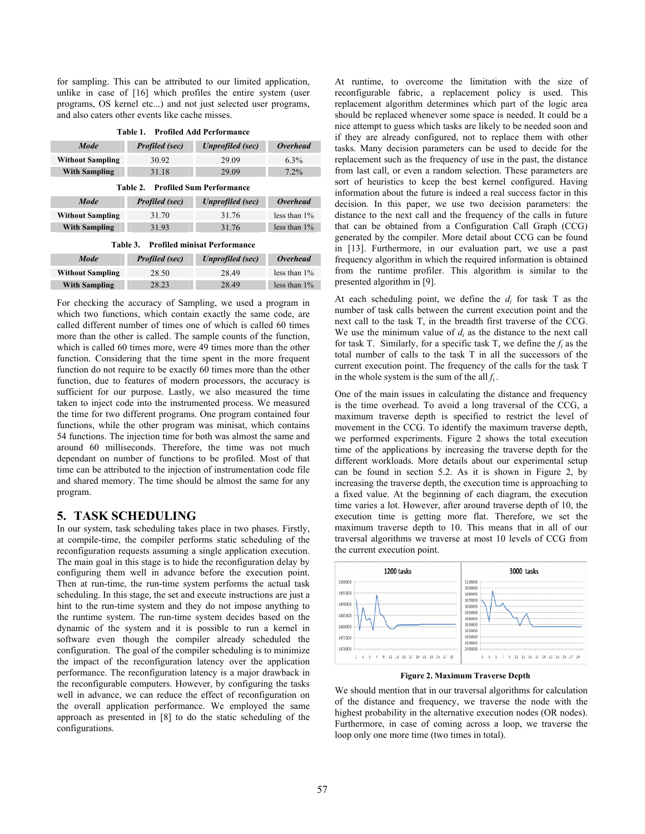for sampling. This can be attributed to our limited application, unlike in case of [16] which profiles the entire system (user programs, OS kernel etc...) and not just selected user programs, and also caters other events like cache misses.

| Mode                                            | <b>Profiled</b> (sec) | <b>Unprofiled</b> (sec) | <b>Overhead</b> |  |  |  |
|-------------------------------------------------|-----------------------|-------------------------|-----------------|--|--|--|
| <b>Without Sampling</b>                         | 30.92                 | 29.09                   | 6.3%            |  |  |  |
| <b>With Sampling</b>                            | 31.18                 | 29.09                   | 7.2%            |  |  |  |
| <b>Profiled Sum Performance</b><br>Table 2.     |                       |                         |                 |  |  |  |
| Mode                                            | <b>Profiled</b> (sec) | <b>Unprofiled</b> (sec) | <b>Overhead</b> |  |  |  |
| <b>Without Sampling</b>                         | 31.70                 | 31.76                   | less than $1\%$ |  |  |  |
| <b>With Sampling</b>                            | 31.93                 | 31.76                   | less than $1\%$ |  |  |  |
| <b>Profiled minisat Performance</b><br>Table 3. |                       |                         |                 |  |  |  |
| <b>Mode</b>                                     | <b>Profiled</b> (sec) | <b>Unprofiled</b> (sec) | <b>Overhead</b> |  |  |  |
| <b>Without Sampling</b>                         | 28.50                 | 28.49                   | less than $1\%$ |  |  |  |
| <b>With Sampling</b>                            | 28.23                 | 28.49                   | less than $1\%$ |  |  |  |

#### **Table 1. Profiled Add Performance**

For checking the accuracy of Sampling, we used a program in which two functions, which contain exactly the same code, are called different number of times one of which is called 60 times more than the other is called. The sample counts of the function, which is called 60 times more, were 49 times more than the other function. Considering that the time spent in the more frequent function do not require to be exactly 60 times more than the other function, due to features of modern processors, the accuracy is sufficient for our purpose. Lastly, we also measured the time taken to inject code into the instrumented process. We measured the time for two different programs. One program contained four functions, while the other program was minisat, which contains 54 functions. The injection time for both was almost the same and around 60 milliseconds. Therefore, the time was not much dependant on number of functions to be profiled. Most of that time can be attributed to the injection of instrumentation code file and shared memory. The time should be almost the same for any program.

### **5. TASK SCHEDULING**

In our system, task scheduling takes place in two phases. Firstly, at compile-time, the compiler performs static scheduling of the reconfiguration requests assuming a single application execution. The main goal in this stage is to hide the reconfiguration delay by configuring them well in advance before the execution point. Then at run-time, the run-time system performs the actual task scheduling. In this stage, the set and execute instructions are just a hint to the run-time system and they do not impose anything to the runtime system. The run-time system decides based on the dynamic of the system and it is possible to run a kernel in software even though the compiler already scheduled the configuration. The goal of the compiler scheduling is to minimize the impact of the reconfiguration latency over the application performance. The reconfiguration latency is a major drawback in the reconfigurable computers. However, by configuring the tasks well in advance, we can reduce the effect of reconfiguration on the overall application performance. We employed the same approach as presented in [8] to do the static scheduling of the configurations.

At runtime, to overcome the limitation with the size of reconfigurable fabric, a replacement policy is used. This replacement algorithm determines which part of the logic area should be replaced whenever some space is needed. It could be a nice attempt to guess which tasks are likely to be needed soon and if they are already configured, not to replace them with other tasks. Many decision parameters can be used to decide for the replacement such as the frequency of use in the past, the distance from last call, or even a random selection. These parameters are sort of heuristics to keep the best kernel configured. Having information about the future is indeed a real success factor in this decision. In this paper, we use two decision parameters: the distance to the next call and the frequency of the calls in future that can be obtained from a Configuration Call Graph (CCG) generated by the compiler. More detail about CCG can be found in [13]. Furthermore, in our evaluation part, we use a past frequency algorithm in which the required information is obtained from the runtime profiler. This algorithm is similar to the presented algorithm in [9].

At each scheduling point, we define the  $d_i$  for task T as the number of task calls between the current execution point and the next call to the task T, in the breadth first traverse of the CCG. We use the minimum value of *di* as the distance to the next call for task T. Similarly, for a specific task T, we define the  $f_i$  as the total number of calls to the task T in all the successors of the current execution point. The frequency of the calls for the task T in the whole system is the sum of the all  $f_i$ .

One of the main issues in calculating the distance and frequency is the time overhead. To avoid a long traversal of the CCG, a maximum traverse depth is specified to restrict the level of movement in the CCG. To identify the maximum traverse depth, we performed experiments. Figure 2 shows the total execution time of the applications by increasing the traverse depth for the different workloads. More details about our experimental setup can be found in section 5.2. As it is shown in Figure 2, by increasing the traverse depth, the execution time is approaching to a fixed value. At the beginning of each diagram, the execution time varies a lot. However, after around traverse depth of 10, the execution time is getting more flat. Therefore, we set the maximum traverse depth to 10. This means that in all of our traversal algorithms we traverse at most 10 levels of CCG from the current execution point.



 **Figure 2. Maximum Traverse Depth** 

We should mention that in our traversal algorithms for calculation of the distance and frequency, we traverse the node with the highest probability in the alternative execution nodes (OR nodes). Furthermore, in case of coming across a loop, we traverse the loop only one more time (two times in total).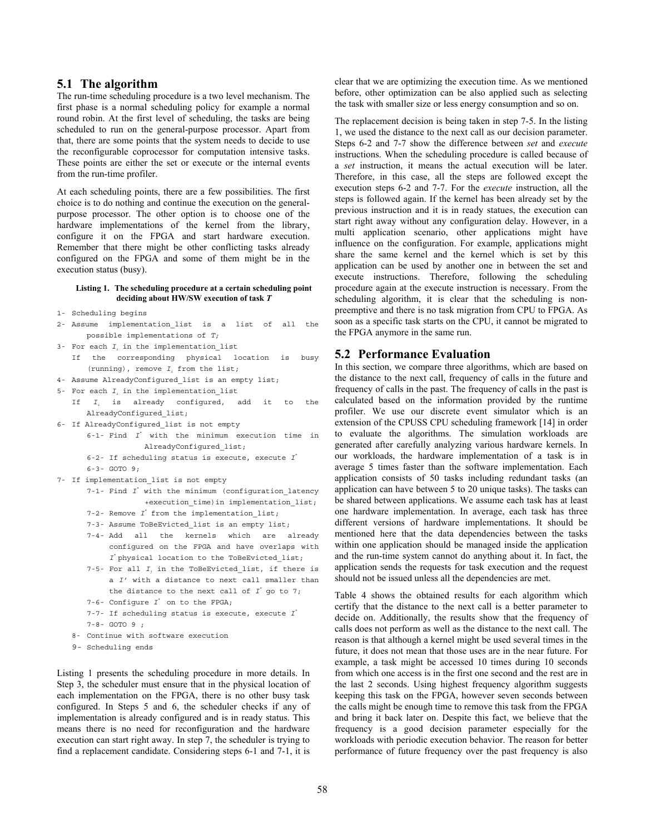### **5.1 The algorithm**

The run-time scheduling procedure is a two level mechanism. The first phase is a normal scheduling policy for example a normal round robin. At the first level of scheduling, the tasks are being scheduled to run on the general-purpose processor. Apart from that, there are some points that the system needs to decide to use the reconfigurable coprocessor for computation intensive tasks. These points are either the set or execute or the internal events from the run-time profiler.

At each scheduling points, there are a few possibilities. The first choice is to do nothing and continue the execution on the generalpurpose processor. The other option is to choose one of the hardware implementations of the kernel from the library, configure it on the FPGA and start hardware execution. Remember that there might be other conflicting tasks already configured on the FPGA and some of them might be in the execution status (busy).

### **Listing 1. The scheduling procedure at a certain scheduling point deciding about HW/SW execution of task** *T*

- 1- Scheduling begins
- 2- Assume implementation\_list is a list of all the possible implementations of *T;*
- 3- For each *Ii* in the implementation\_list
	- If the corresponding physical location is busy (running), remove *I<sub>i</sub>* from the list;
- 4- Assume AlreadyConfigured\_list is an empty list;
- 5- For each *Ii* in the implementation\_list
	- If *Ii* is already configured, add it to the AlreadyConfigured\_list;
- 6- If AlreadyConfigured\_list is not empty
	- 6-1- Find *I\** with the minimum execution time in AlreadyConfigured\_list;
	- 6-2- If scheduling status is execute, execute *I\**
	- $6 3 -$  GOTO  $9$
- 7- If implementation\_list is not empty
	- 7-1- Find I<sup>\*</sup> with the minimum (configuration latency +execution\_time)in implementation\_list;
	- 7-2- Remove *I\** from the implementation\_list;
	- 7-3- Assume ToBeEvicted\_list is an empty list;
	- 7-4- Add all the kernels which are already configured on the FPGA and have overlaps with *I\** physical location to the ToBeEvicted\_list;
	- 7-5- For all *Ij* in the ToBeEvicted\_list, if there is a *I'* with a distance to next call smaller than the distance to the next call of *I\** go to 7;
	- 7-6- Configure *I\** on to the FPGA;
	- 7-7- If scheduling status is execute, execute *I\**
	- 7-8- GOTO 9 ;
	- 8- Continue with software execution
	- 9- Scheduling ends

Listing 1 presents the scheduling procedure in more details. In Step 3, the scheduler must ensure that in the physical location of each implementation on the FPGA, there is no other busy task configured. In Steps 5 and 6, the scheduler checks if any of implementation is already configured and is in ready status. This means there is no need for reconfiguration and the hardware execution can start right away. In step 7, the scheduler is trying to find a replacement candidate. Considering steps 6-1 and 7-1, it is

clear that we are optimizing the execution time. As we mentioned before, other optimization can be also applied such as selecting the task with smaller size or less energy consumption and so on.

The replacement decision is being taken in step 7-5. In the listing 1, we used the distance to the next call as our decision parameter. Steps 6-2 and 7-7 show the difference between *set* and *execute* instructions. When the scheduling procedure is called because of a *set* instruction, it means the actual execution will be later. Therefore, in this case, all the steps are followed except the execution steps 6-2 and 7-7. For the *execute* instruction, all the steps is followed again. If the kernel has been already set by the previous instruction and it is in ready statues, the execution can start right away without any configuration delay. However, in a multi application scenario, other applications might have influence on the configuration. For example, applications might share the same kernel and the kernel which is set by this application can be used by another one in between the set and execute instructions. Therefore, following the scheduling procedure again at the execute instruction is necessary. From the scheduling algorithm, it is clear that the scheduling is nonpreemptive and there is no task migration from CPU to FPGA. As soon as a specific task starts on the CPU, it cannot be migrated to the FPGA anymore in the same run.

### **5.2 Performance Evaluation**

In this section, we compare three algorithms, which are based on the distance to the next call, frequency of calls in the future and frequency of calls in the past. The frequency of calls in the past is calculated based on the information provided by the runtime profiler. We use our discrete event simulator which is an extension of the CPUSS CPU scheduling framework [14] in order to evaluate the algorithms. The simulation workloads are generated after carefully analyzing various hardware kernels. In our workloads, the hardware implementation of a task is in average 5 times faster than the software implementation. Each application consists of 50 tasks including redundant tasks (an application can have between 5 to 20 unique tasks). The tasks can be shared between applications. We assume each task has at least one hardware implementation. In average, each task has three different versions of hardware implementations. It should be mentioned here that the data dependencies between the tasks within one application should be managed inside the application and the run-time system cannot do anything about it. In fact, the application sends the requests for task execution and the request should not be issued unless all the dependencies are met.

Table 4 shows the obtained results for each algorithm which certify that the distance to the next call is a better parameter to decide on. Additionally, the results show that the frequency of calls does not perform as well as the distance to the next call. The reason is that although a kernel might be used several times in the future, it does not mean that those uses are in the near future. For example, a task might be accessed 10 times during 10 seconds from which one access is in the first one second and the rest are in the last 2 seconds. Using highest frequency algorithm suggests keeping this task on the FPGA, however seven seconds between the calls might be enough time to remove this task from the FPGA and bring it back later on. Despite this fact, we believe that the frequency is a good decision parameter especially for the workloads with periodic execution behavior. The reason for better performance of future frequency over the past frequency is also